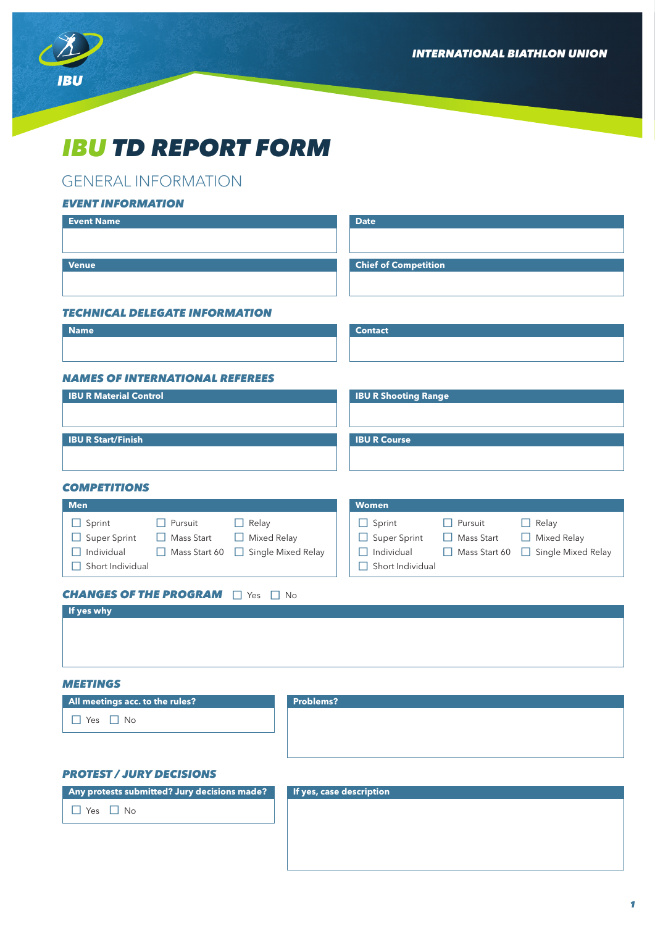*INTERNATIONAL BIATHLON UNION*



# *IBU TD REPORT FORM*

# GENERAL INFORMATION

## *EVENT INFORMATION*

| <b>Event Name</b>                                                       | <b>Date</b>                                                          |
|-------------------------------------------------------------------------|----------------------------------------------------------------------|
|                                                                         |                                                                      |
| <b>Venue</b>                                                            | <b>Chief of Competition</b>                                          |
|                                                                         |                                                                      |
|                                                                         |                                                                      |
| <b>TECHNICAL DELEGATE INFORMATION</b>                                   |                                                                      |
| <b>Name</b>                                                             | <b>Contact</b>                                                       |
|                                                                         |                                                                      |
|                                                                         |                                                                      |
| <b>NAMES OF INTERNATIONAL REFEREES</b><br><b>IBU R Material Control</b> | <b>IBU R Shooting Range</b>                                          |
|                                                                         |                                                                      |
|                                                                         |                                                                      |
| <b>IBU R Start/Finish</b>                                               | <b>IBU R Course</b>                                                  |
|                                                                         |                                                                      |
|                                                                         |                                                                      |
| <b>COMPETITIONS</b>                                                     |                                                                      |
| <b>Men</b>                                                              | <b>Women</b>                                                         |
| $\Box$ Sprint<br>$\Box$ Pursuit<br>Relay<br>$\Box$                      | $\Box$ Sprint<br>Pursuit<br>$\Box$ Relay<br>$\Box$                   |
| $\Box$ Super Sprint<br>Mass Start<br>$\Box$<br>Mixed Relay              | $\Box$ Super Sprint<br>Mass Start<br>Mixed Relay<br>$\Box$<br>$\Box$ |
| $\Box$ Individual<br>Single Mixed Relay<br>$\Box$ Mass Start 60 $\Box$  | $\Box$ Individual<br>Single Mixed Relay<br>$\Box$ Mass Start 60      |
| $\Box$ Short Individual                                                 | $\Box$ Short Individual                                              |
| <b>CHANGES OF THE PROGRAM</b> $\Box$ Yes $\Box$ No                      |                                                                      |
| If yes why                                                              |                                                                      |
|                                                                         |                                                                      |
|                                                                         |                                                                      |
|                                                                         |                                                                      |
|                                                                         |                                                                      |

## *MEETINGS*

| All meetings acc. to the rules? | <b>Problems?</b> |
|---------------------------------|------------------|
| $\Box$ Yes $\Box$ No            |                  |
|                                 |                  |

## *PROTEST / JURY DECISIONS*

**Any protests submitted? Jury decisions made?**

 $\Box$  Yes  $\Box$  No

#### **If yes, case description**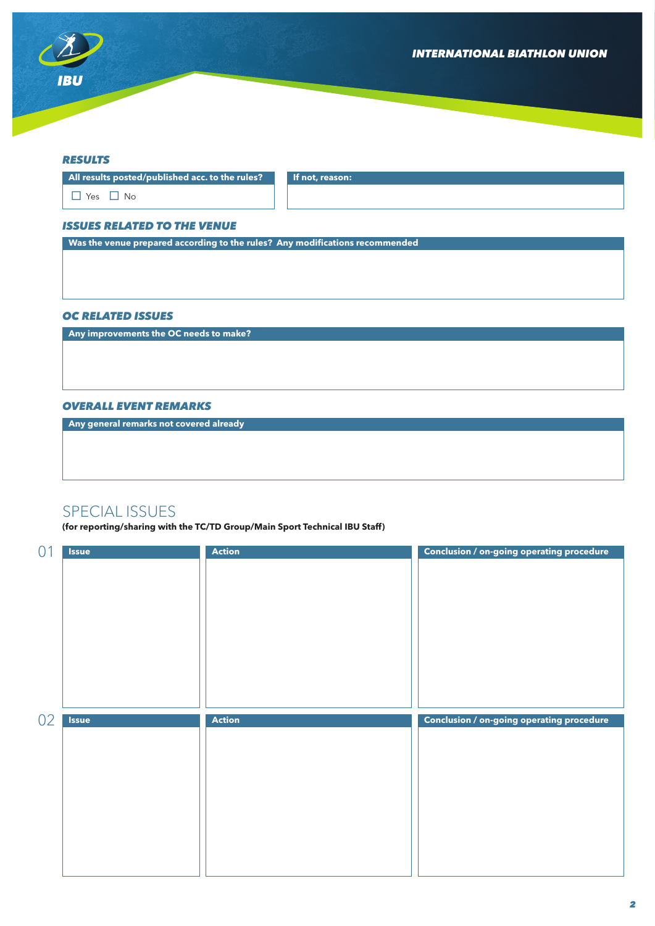

#### *RESULTS*

**All results posted/published acc. to the rules? If not, reason:**

 $\Box$  Yes  $\Box$  No

#### *ISSUES RELATED TO THE VENUE*

**Was the venue prepared according to the rules? Any modifications recommended**

#### *OC RELATED ISSUES*

**Any improvements the OC needs to make?**

### *OVERALL EVENT REMARKS*

**Any general remarks not covered already**

# SPECIAL ISSUES

**(for reporting/sharing with the TC/TD Group/Main Sport Technical IBU Staff)**

| 01 | <b>Issue</b> | <b>Action</b> | Conclusion / on-going operating procedure        |
|----|--------------|---------------|--------------------------------------------------|
|    |              |               |                                                  |
|    |              |               |                                                  |
|    |              |               |                                                  |
|    |              |               |                                                  |
|    |              |               |                                                  |
|    |              |               |                                                  |
|    |              |               |                                                  |
|    |              |               |                                                  |
|    |              |               |                                                  |
|    |              |               |                                                  |
|    |              |               |                                                  |
|    |              |               |                                                  |
|    | <b>Issue</b> | <b>Action</b> |                                                  |
| 02 |              |               | <b>Conclusion / on-going operating procedure</b> |
|    |              |               |                                                  |
|    |              |               |                                                  |
|    |              |               |                                                  |
|    |              |               |                                                  |
|    |              |               |                                                  |
|    |              |               |                                                  |
|    |              |               |                                                  |
|    |              |               |                                                  |
|    |              |               |                                                  |